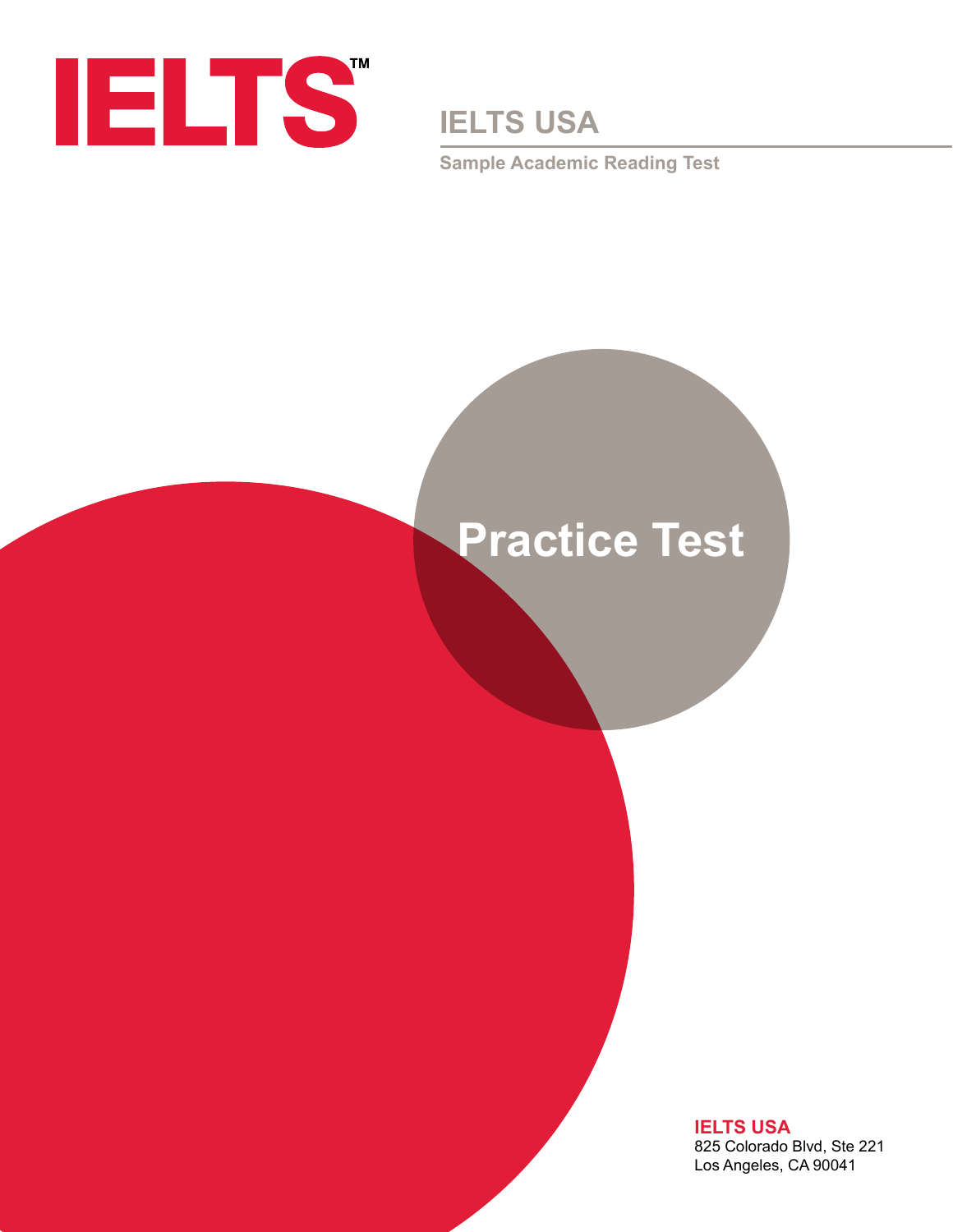

**IELTS USA**

**Sample Academic Reading Test**

# **Practice Test**

**IELTS USA** 825 Colorado Blvd, Ste 221 Los Angeles, CA 90041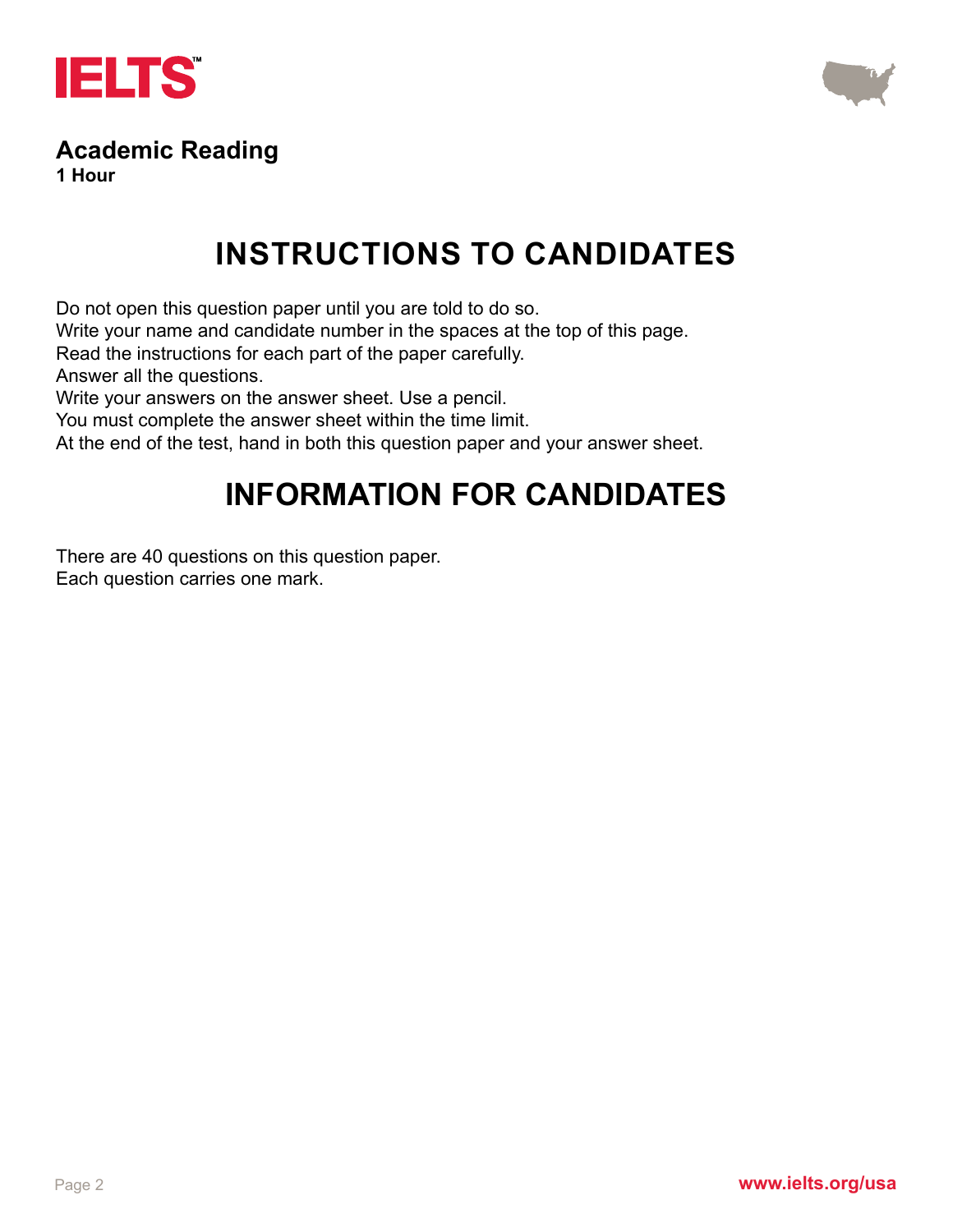



## **Academic Reading**

**1 Hour**

## **INSTRUCTIONS TO CANDIDATES**

Do not open this question paper until you are told to do so.

Write your name and candidate number in the spaces at the top of this page.

Read the instructions for each part of the paper carefully.

Answer all the questions.

Write your answers on the answer sheet. Use a pencil.

You must complete the answer sheet within the time limit.

At the end of the test, hand in both this question paper and your answer sheet.

## **INFORMATION FOR CANDIDATES**

There are 40 questions on this question paper.

Each question carries one mark.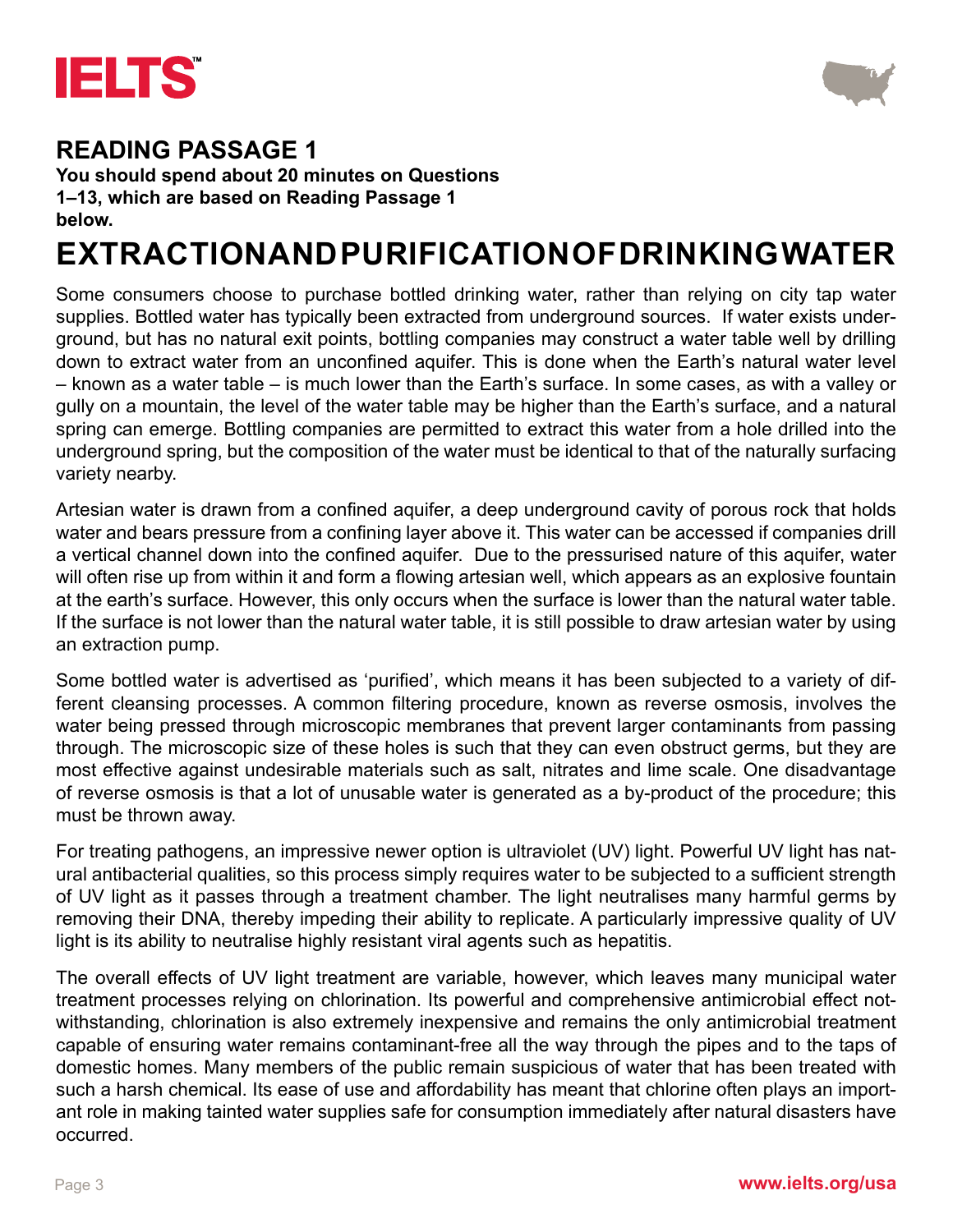



**You should spend about 20 minutes on Questions 1–13, which are based on Reading Passage 1 below.**

## **EXTRACTION AND PURIFICATION OF DRINKING WATER**

Some consumers choose to purchase bottled drinking water, rather than relying on city tap water supplies. Bottled water has typically been extracted from underground sources. If water exists underground, but has no natural exit points, bottling companies may construct a water table well by drilling down to extract water from an unconfined aquifer. This is done when the Earth's natural water level – known as a water table – is much lower than the Earth's surface. In some cases, as with a valley or gully on a mountain, the level of the water table may be higher than the Earth's surface, and a natural spring can emerge. Bottling companies are permitted to extract this water from a hole drilled into the underground spring, but the composition of the water must be identical to that of the naturally surfacing variety nearby.

Artesian water is drawn from a confined aquifer, a deep underground cavity of porous rock that holds water and bears pressure from a confining layer above it. This water can be accessed if companies drill a vertical channel down into the confined aquifer. Due to the pressurised nature of this aquifer, water will often rise up from within it and form a flowing artesian well, which appears as an explosive fountain at the earth's surface. However, this only occurs when the surface is lower than the natural water table. If the surface is not lower than the natural water table, it is still possible to draw artesian water by using an extraction pump.

Some bottled water is advertised as 'purified', which means it has been subjected to a variety of different cleansing processes. A common filtering procedure, known as reverse osmosis, involves the water being pressed through microscopic membranes that prevent larger contaminants from passing through. The microscopic size of these holes is such that they can even obstruct germs, but they are most effective against undesirable materials such as salt, nitrates and lime scale. One disadvantage of reverse osmosis is that a lot of unusable water is generated as a by-product of the procedure; this must be thrown away.

For treating pathogens, an impressive newer option is ultraviolet (UV) light. Powerful UV light has natural antibacterial qualities, so this process simply requires water to be subjected to a sufficient strength of UV light as it passes through a treatment chamber. The light neutralises many harmful germs by removing their DNA, thereby impeding their ability to replicate. A particularly impressive quality of UV light is its ability to neutralise highly resistant viral agents such as hepatitis.

The overall effects of UV light treatment are variable, however, which leaves many municipal water treatment processes relying on chlorination. Its powerful and comprehensive antimicrobial effect notwithstanding, chlorination is also extremely inexpensive and remains the only antimicrobial treatment capable of ensuring water remains contaminant-free all the way through the pipes and to the taps of domestic homes. Many members of the public remain suspicious of water that has been treated with such a harsh chemical. Its ease of use and affordability has meant that chlorine often plays an important role in making tainted water supplies safe for consumption immediately after natural disasters have occurred.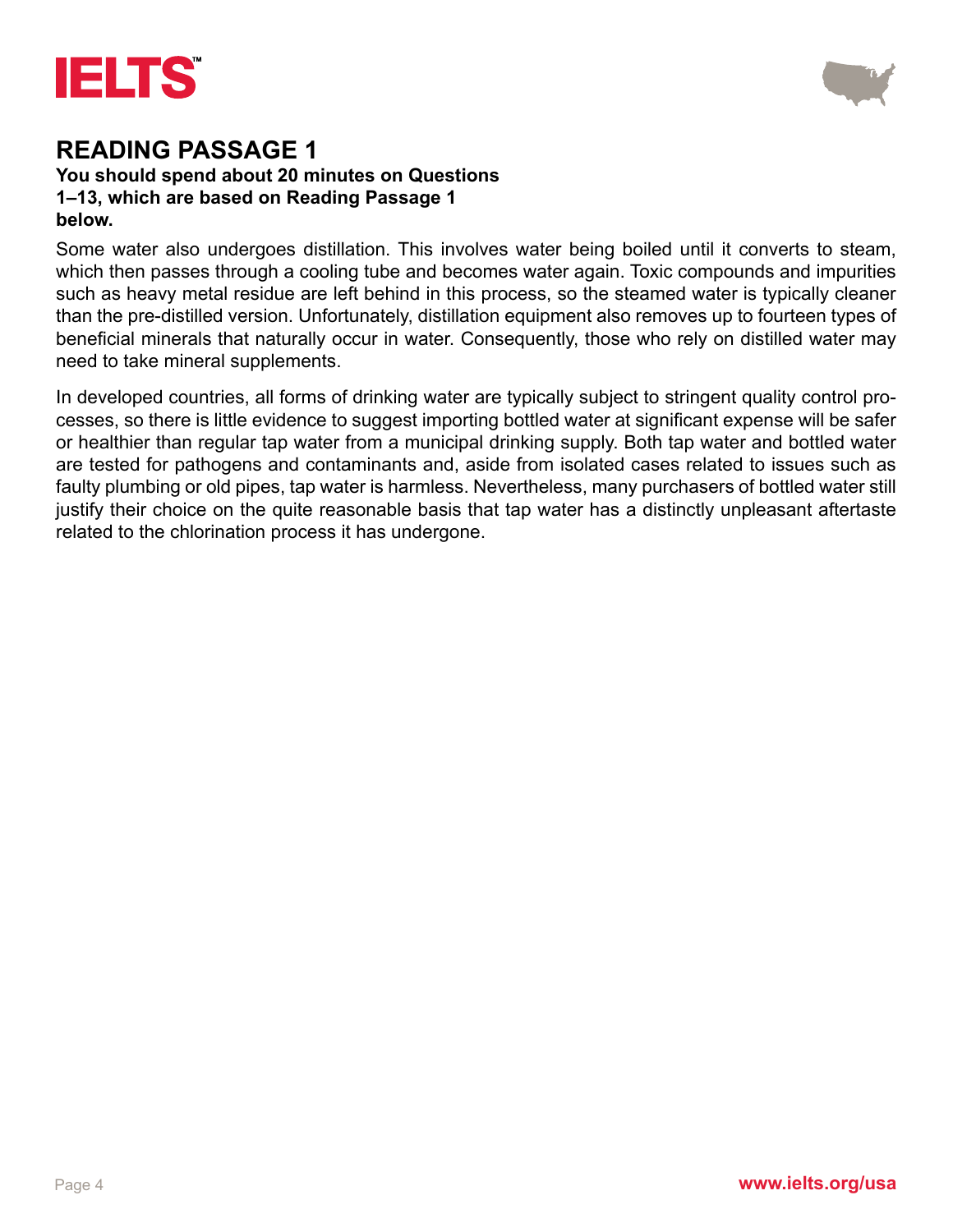



#### **You should spend about 20 minutes on Questions 1–13, which are based on Reading Passage 1 below.**

Some water also undergoes distillation. This involves water being boiled until it converts to steam, which then passes through a cooling tube and becomes water again. Toxic compounds and impurities such as heavy metal residue are left behind in this process, so the steamed water is typically cleaner than the pre-distilled version. Unfortunately, distillation equipment also removes up to fourteen types of beneficial minerals that naturally occur in water. Consequently, those who rely on distilled water may need to take mineral supplements.

In developed countries, all forms of drinking water are typically subject to stringent quality control processes, so there is little evidence to suggest importing bottled water at significant expense will be safer or healthier than regular tap water from a municipal drinking supply. Both tap water and bottled water are tested for pathogens and contaminants and, aside from isolated cases related to issues such as faulty plumbing or old pipes, tap water is harmless. Nevertheless, many purchasers of bottled water still justify their choice on the quite reasonable basis that tap water has a distinctly unpleasant aftertaste related to the chlorination process it has undergone.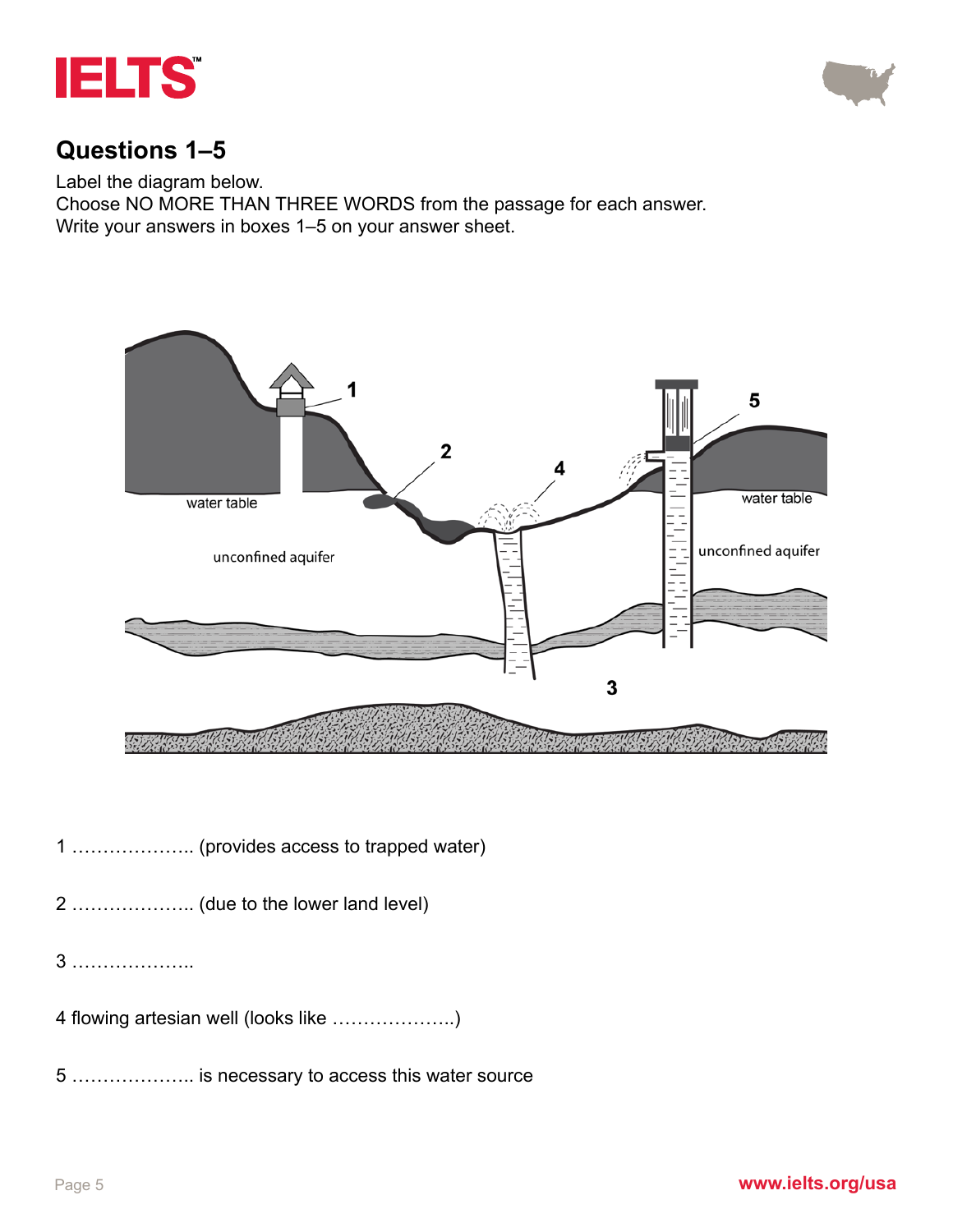



#### **Questions 1–5**

Label the diagram below.

Choose NO MORE THAN THREE WORDS from the passage for each answer. Write your answers in boxes 1–5 on your answer sheet.



1 ……………….. (provides access to trapped water)

- 2 ……………….. (due to the lower land level)
- 3 ………………..
- 4 flowing artesian well (looks like ………………..)
- 5 ……………….. is necessary to access this water source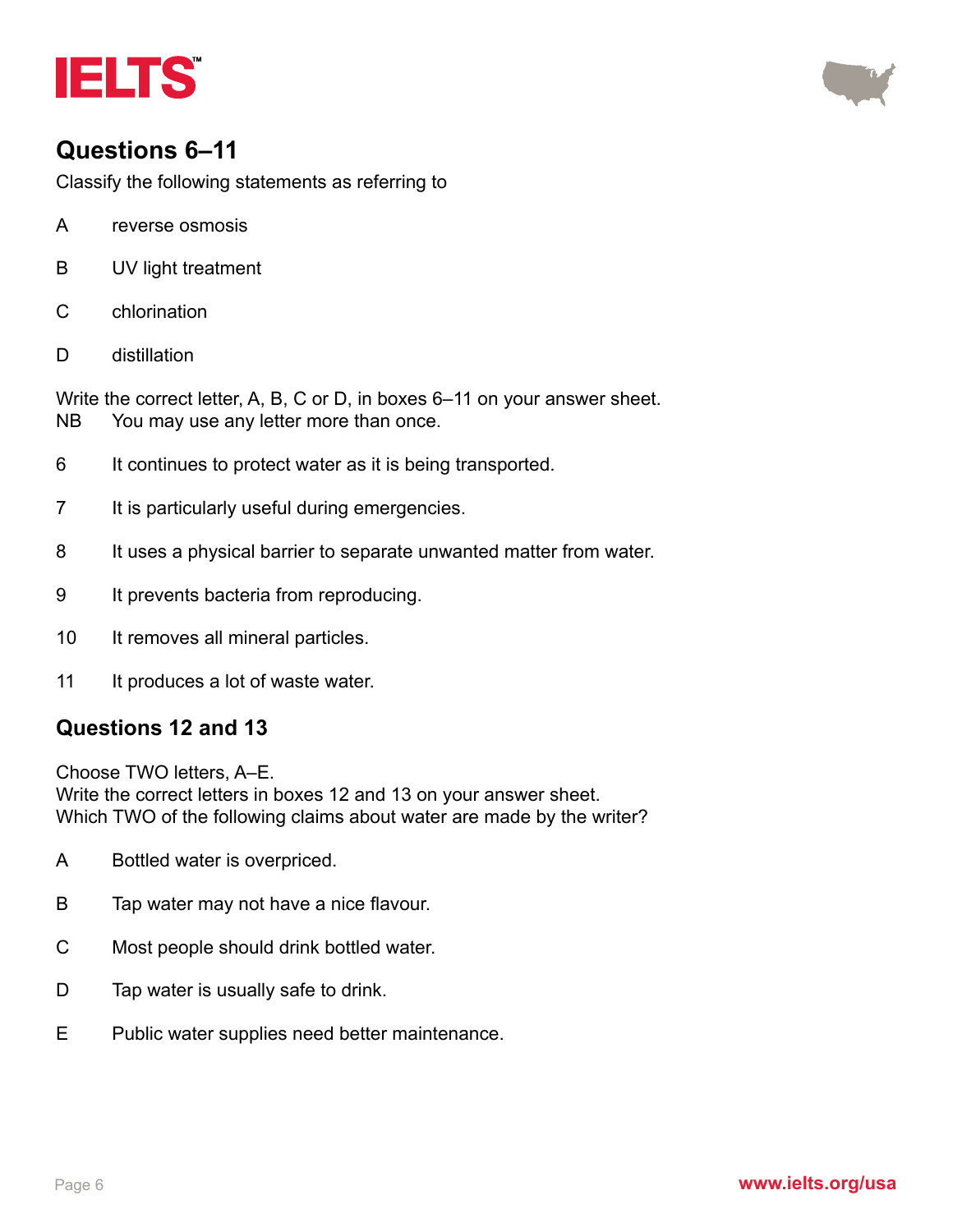



### **Questions 6–11**

Classify the following statements as referring to

- A reverse osmosis
- B UV light treatment
- C chlorination
- D distillation

Write the correct letter, A, B, C or D, in boxes 6–11 on your answer sheet. NB You may use any letter more than once.

- 6 It continues to protect water as it is being transported.
- 7 It is particularly useful during emergencies.
- 8 It uses a physical barrier to separate unwanted matter from water.
- 9 It prevents bacteria from reproducing.
- 10 It removes all mineral particles.
- 11 It produces a lot of waste water.

#### **Questions 12 and 13**

Choose TWO letters, A–E. Write the correct letters in boxes 12 and 13 on your answer sheet. Which TWO of the following claims about water are made by the writer?

- A Bottled water is overpriced.
- B Tap water may not have a nice flavour.
- C Most people should drink bottled water.
- D Tap water is usually safe to drink.
- E Public water supplies need better maintenance.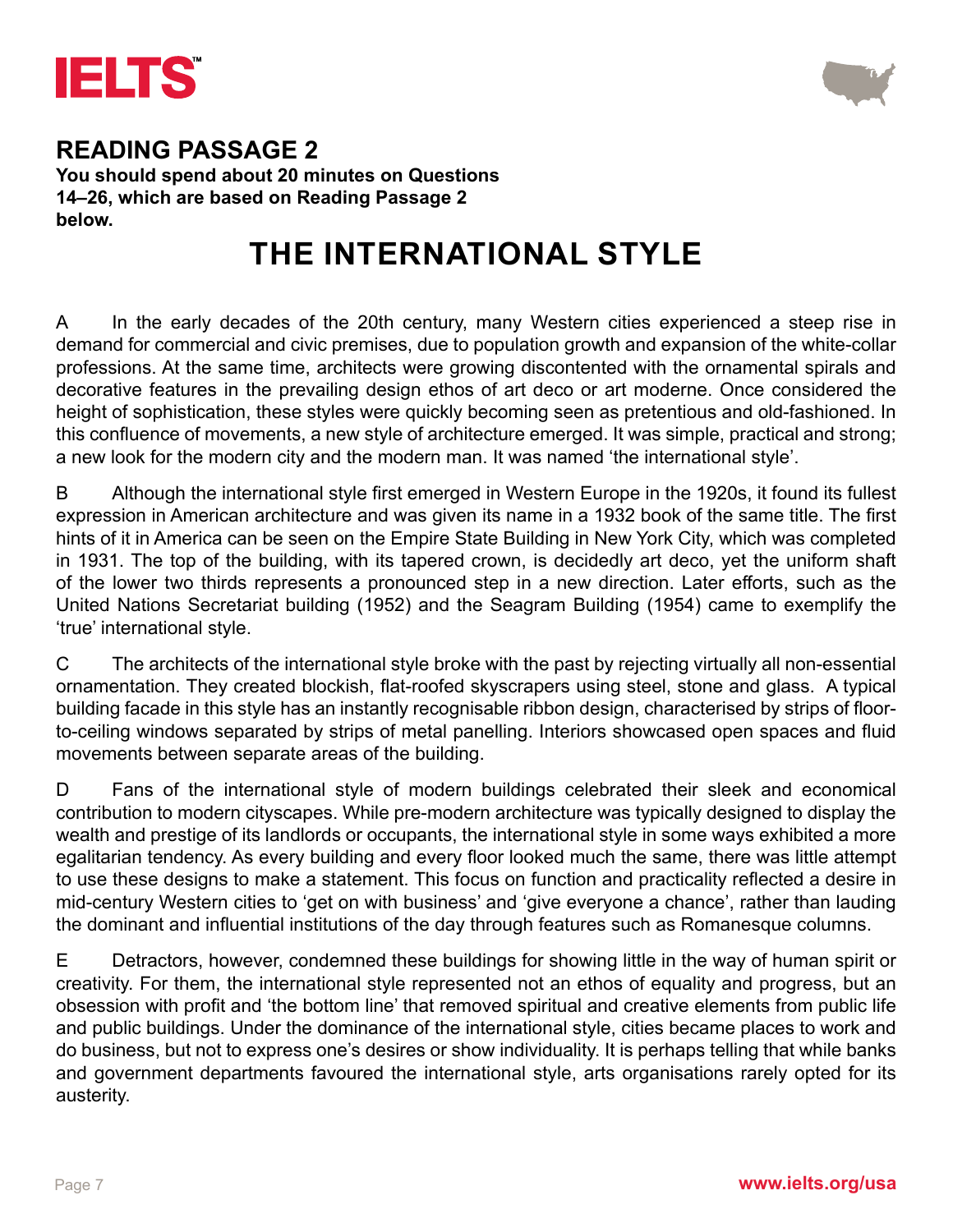



**You should spend about 20 minutes on Questions 14–26, which are based on Reading Passage 2 below.**

## **THE INTERNATIONAL STYLE**

A In the early decades of the 20th century, many Western cities experienced a steep rise in demand for commercial and civic premises, due to population growth and expansion of the white-collar professions. At the same time, architects were growing discontented with the ornamental spirals and decorative features in the prevailing design ethos of art deco or art moderne. Once considered the height of sophistication, these styles were quickly becoming seen as pretentious and old-fashioned. In this confluence of movements, a new style of architecture emerged. It was simple, practical and strong; a new look for the modern city and the modern man. It was named 'the international style'.

B Although the international style first emerged in Western Europe in the 1920s, it found its fullest expression in American architecture and was given its name in a 1932 book of the same title. The first hints of it in America can be seen on the Empire State Building in New York City, which was completed in 1931. The top of the building, with its tapered crown, is decidedly art deco, yet the uniform shaft of the lower two thirds represents a pronounced step in a new direction. Later efforts, such as the United Nations Secretariat building (1952) and the Seagram Building (1954) came to exemplify the 'true' international style.

C The architects of the international style broke with the past by rejecting virtually all non-essential ornamentation. They created blockish, flat-roofed skyscrapers using steel, stone and glass. A typical building facade in this style has an instantly recognisable ribbon design, characterised by strips of floorto-ceiling windows separated by strips of metal panelling. Interiors showcased open spaces and fluid movements between separate areas of the building.

D Fans of the international style of modern buildings celebrated their sleek and economical contribution to modern cityscapes. While pre-modern architecture was typically designed to display the wealth and prestige of its landlords or occupants, the international style in some ways exhibited a more egalitarian tendency. As every building and every floor looked much the same, there was little attempt to use these designs to make a statement. This focus on function and practicality reflected a desire in mid-century Western cities to 'get on with business' and 'give everyone a chance', rather than lauding the dominant and influential institutions of the day through features such as Romanesque columns.

E Detractors, however, condemned these buildings for showing little in the way of human spirit or creativity. For them, the international style represented not an ethos of equality and progress, but an obsession with profit and 'the bottom line' that removed spiritual and creative elements from public life and public buildings. Under the dominance of the international style, cities became places to work and do business, but not to express one's desires or show individuality. It is perhaps telling that while banks and government departments favoured the international style, arts organisations rarely opted for its austerity.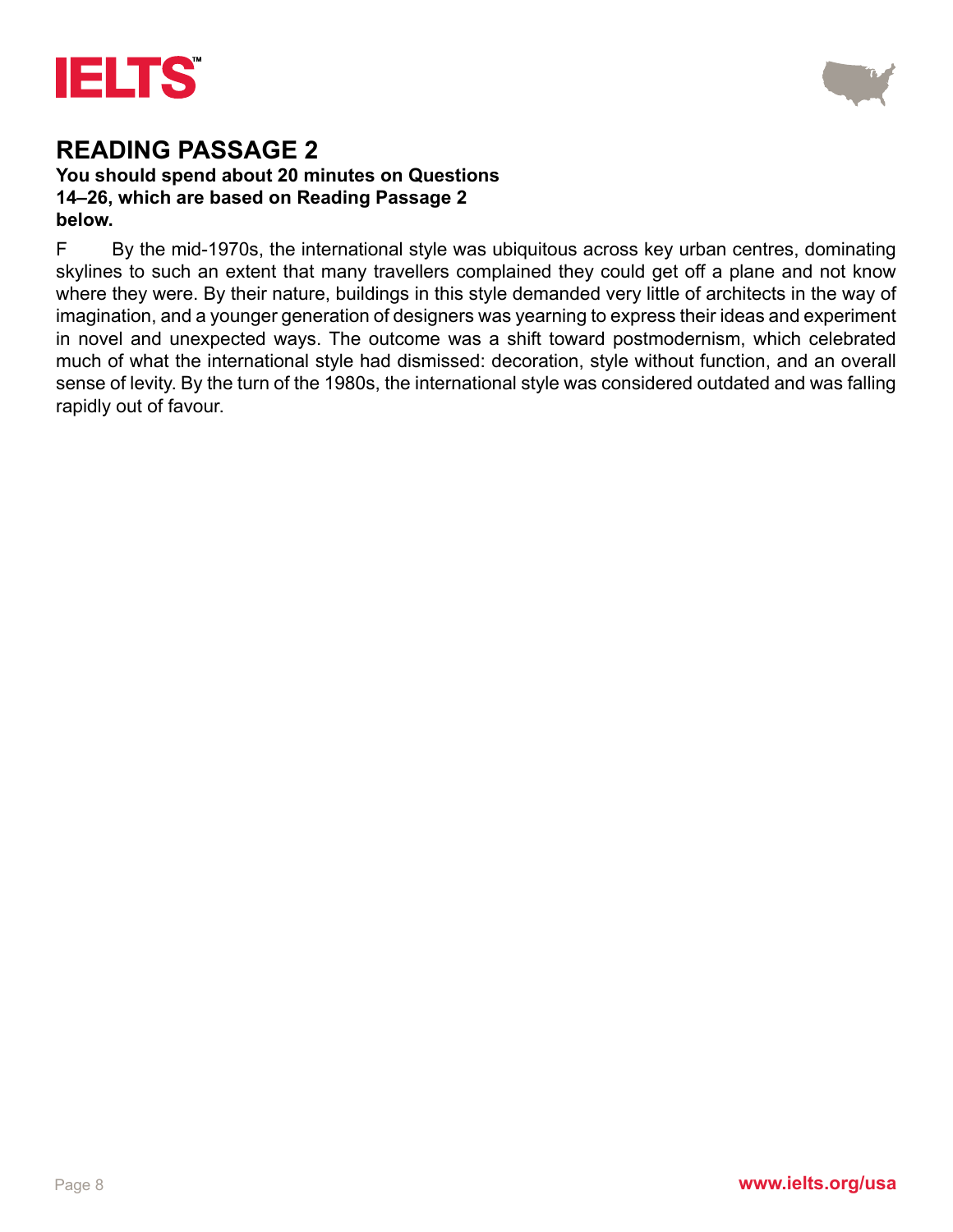



#### **You should spend about 20 minutes on Questions 14–26, which are based on Reading Passage 2 below.**

F By the mid-1970s, the international style was ubiquitous across key urban centres, dominating skylines to such an extent that many travellers complained they could get off a plane and not know where they were. By their nature, buildings in this style demanded very little of architects in the way of imagination, and a younger generation of designers was yearning to express their ideas and experiment in novel and unexpected ways. The outcome was a shift toward postmodernism, which celebrated much of what the international style had dismissed: decoration, style without function, and an overall sense of levity. By the turn of the 1980s, the international style was considered outdated and was falling rapidly out of favour.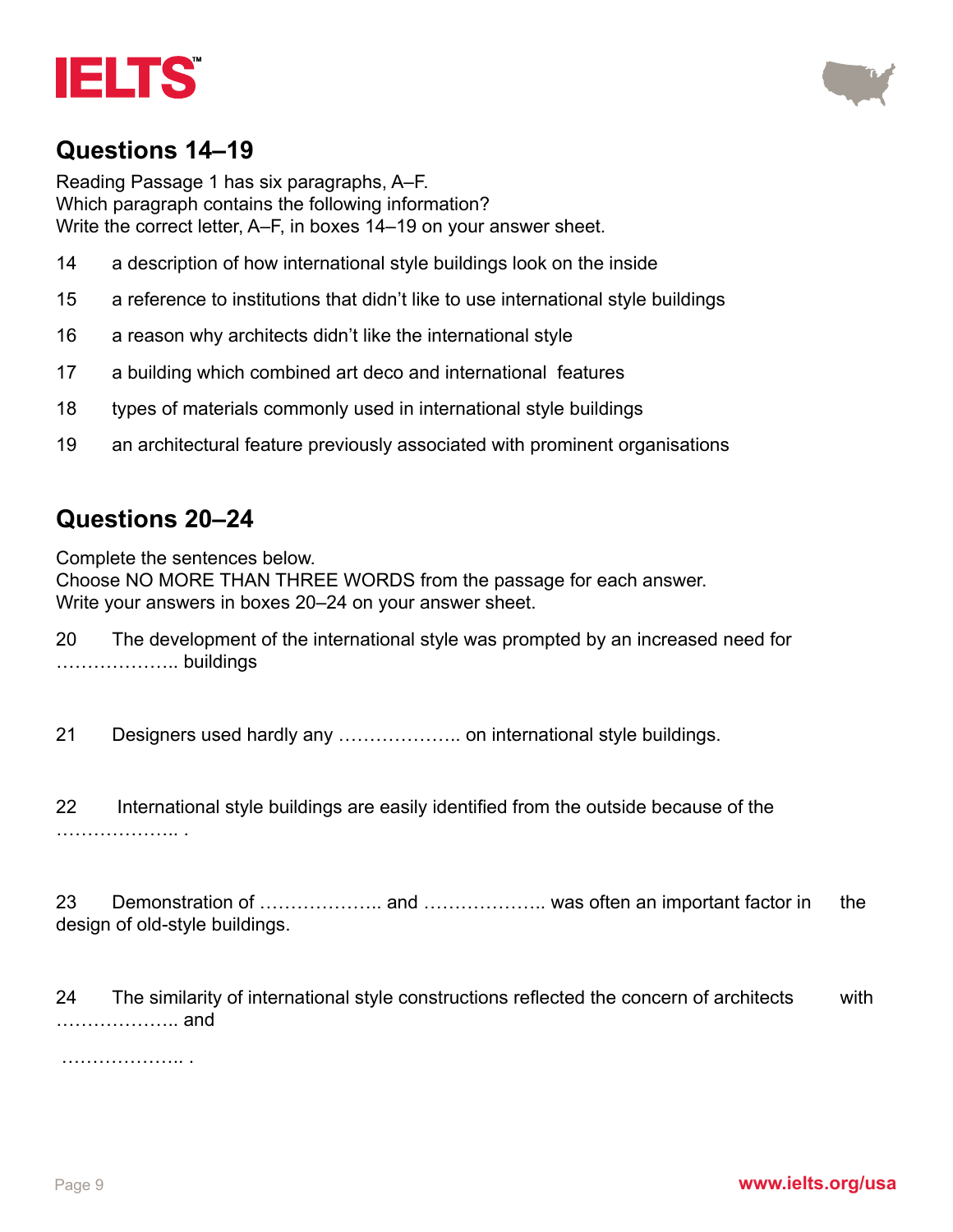



#### **Questions 14–19**

Reading Passage 1 has six paragraphs, A–F. Which paragraph contains the following information? Write the correct letter, A–F, in boxes 14–19 on your answer sheet.

- 14 a description of how international style buildings look on the inside
- 15 a reference to institutions that didn't like to use international style buildings
- 16 a reason why architects didn't like the international style
- 17 a building which combined art deco and international features
- 18 types of materials commonly used in international style buildings
- 19 an architectural feature previously associated with prominent organisations

#### **Questions 20–24**

Complete the sentences below. Choose NO MORE THAN THREE WORDS from the passage for each answer. Write your answers in boxes 20–24 on your answer sheet.

20 The development of the international style was prompted by an increased need for ……………….. buildings

21 Designers used hardly any ……………….. on international style buildings.

22 International style buildings are easily identified from the outside because of the ……………………

23 Demonstration of ……………….. and ……………….. was often an important factor in the design of old-style buildings.

24 The similarity of international style constructions reflected the concern of architects with ……………….. and

……………….. .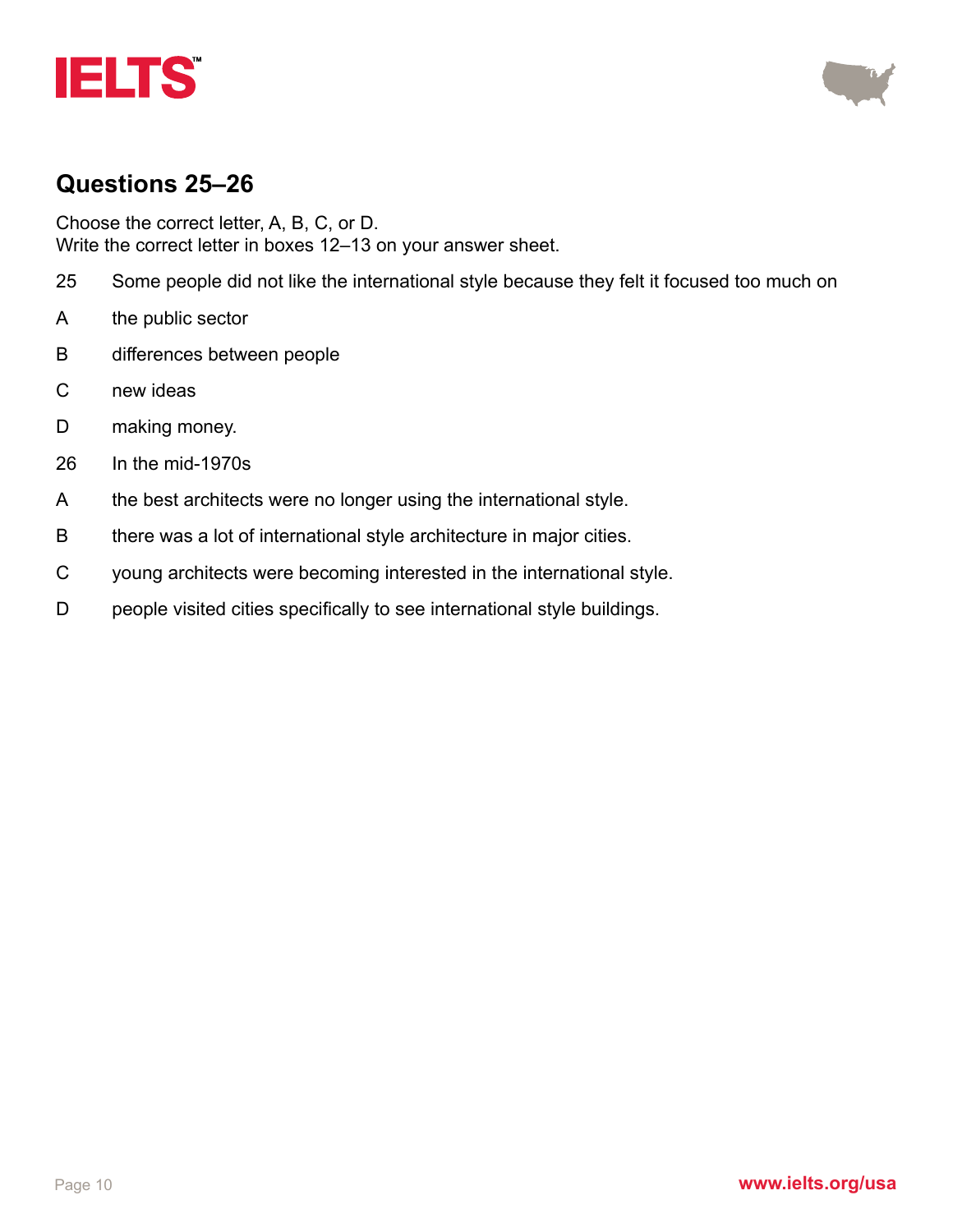



#### **Questions 25–26**

Choose the correct letter, A, B, C, or D. Write the correct letter in boxes 12–13 on your answer sheet.

- 25 Some people did not like the international style because they felt it focused too much on
- A the public sector
- B differences between people
- C new ideas
- D making money.
- 26 In the mid-1970s
- A the best architects were no longer using the international style.
- B there was a lot of international style architecture in major cities.
- C young architects were becoming interested in the international style.
- D people visited cities specifically to see international style buildings.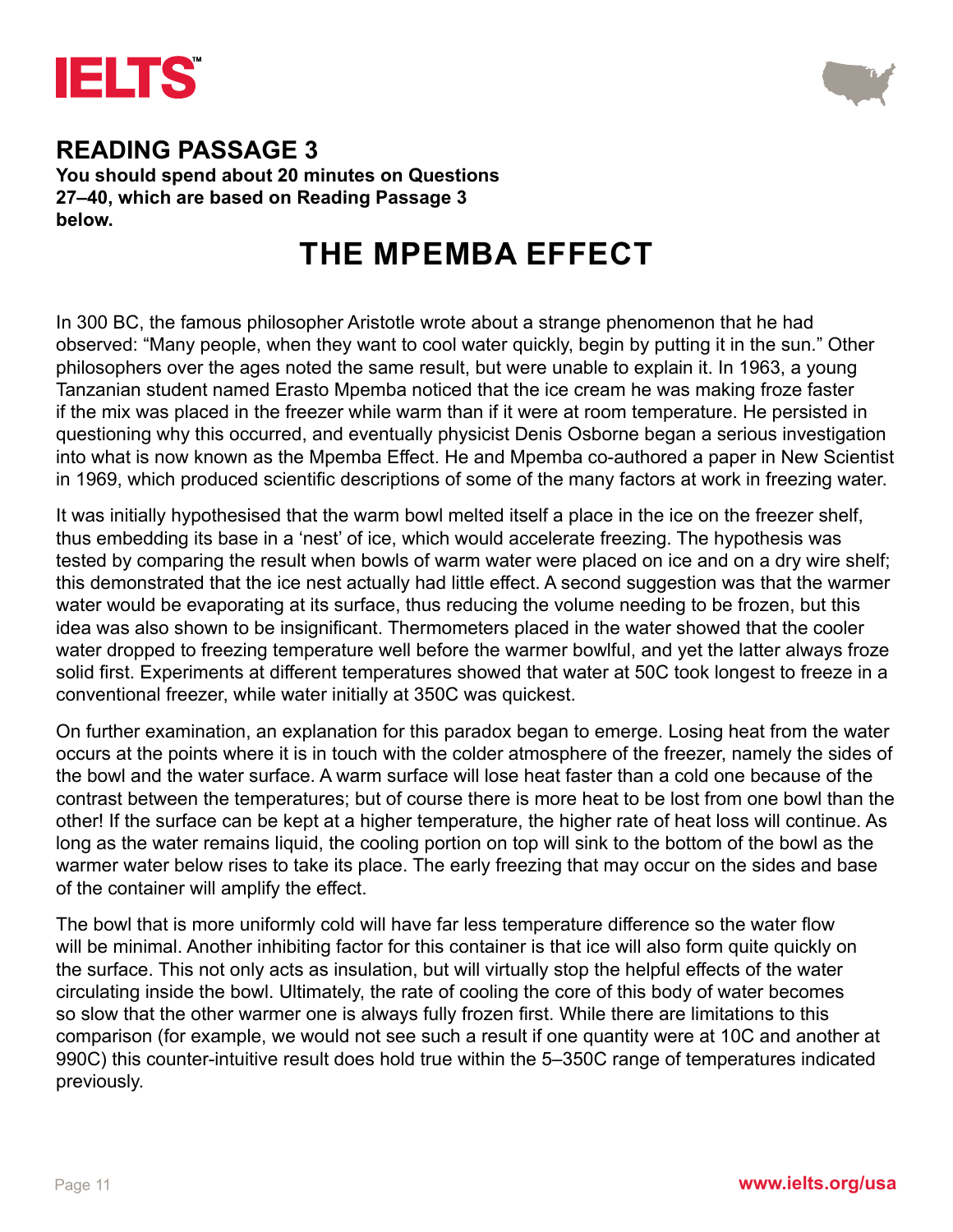



**You should spend about 20 minutes on Questions 27–40, which are based on Reading Passage 3 below.**

## **THE MPEMBA EFFECT**

In 300 BC, the famous philosopher Aristotle wrote about a strange phenomenon that he had observed: "Many people, when they want to cool water quickly, begin by putting it in the sun." Other philosophers over the ages noted the same result, but were unable to explain it. In 1963, a young Tanzanian student named Erasto Mpemba noticed that the ice cream he was making froze faster if the mix was placed in the freezer while warm than if it were at room temperature. He persisted in questioning why this occurred, and eventually physicist Denis Osborne began a serious investigation into what is now known as the Mpemba Effect. He and Mpemba co-authored a paper in New Scientist in 1969, which produced scientific descriptions of some of the many factors at work in freezing water.

It was initially hypothesised that the warm bowl melted itself a place in the ice on the freezer shelf, thus embedding its base in a 'nest' of ice, which would accelerate freezing. The hypothesis was tested by comparing the result when bowls of warm water were placed on ice and on a dry wire shelf; this demonstrated that the ice nest actually had little effect. A second suggestion was that the warmer water would be evaporating at its surface, thus reducing the volume needing to be frozen, but this idea was also shown to be insignificant. Thermometers placed in the water showed that the cooler water dropped to freezing temperature well before the warmer bowlful, and yet the latter always froze solid first. Experiments at different temperatures showed that water at 50C took longest to freeze in a conventional freezer, while water initially at 350C was quickest.

On further examination, an explanation for this paradox began to emerge. Losing heat from the water occurs at the points where it is in touch with the colder atmosphere of the freezer, namely the sides of the bowl and the water surface. A warm surface will lose heat faster than a cold one because of the contrast between the temperatures; but of course there is more heat to be lost from one bowl than the other! If the surface can be kept at a higher temperature, the higher rate of heat loss will continue. As long as the water remains liquid, the cooling portion on top will sink to the bottom of the bowl as the warmer water below rises to take its place. The early freezing that may occur on the sides and base of the container will amplify the effect.

The bowl that is more uniformly cold will have far less temperature difference so the water flow will be minimal. Another inhibiting factor for this container is that ice will also form quite quickly on the surface. This not only acts as insulation, but will virtually stop the helpful effects of the water circulating inside the bowl. Ultimately, the rate of cooling the core of this body of water becomes so slow that the other warmer one is always fully frozen first. While there are limitations to this comparison (for example, we would not see such a result if one quantity were at 10C and another at 990C) this counter-intuitive result does hold true within the 5–350C range of temperatures indicated previously.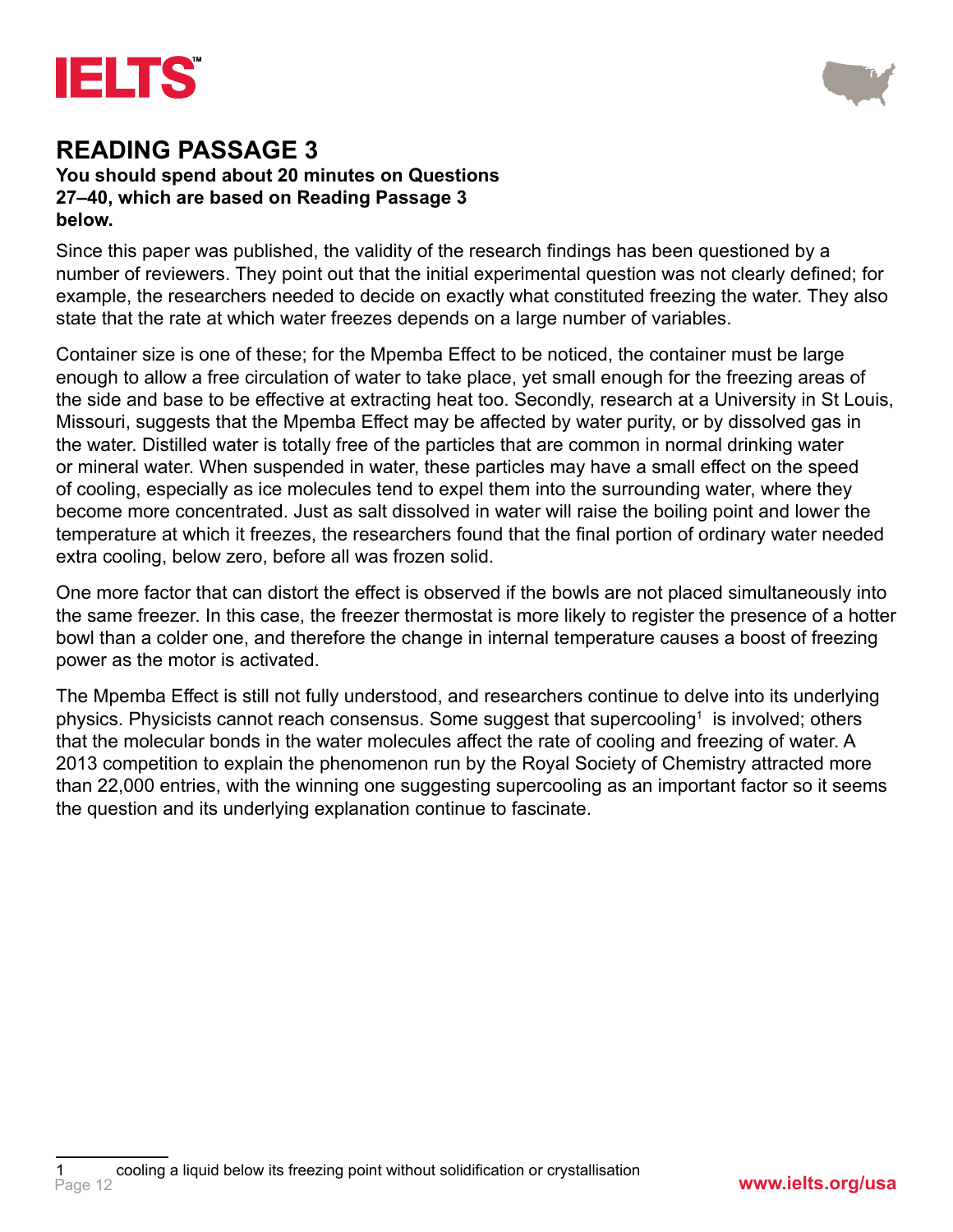



#### **You should spend about 20 minutes on Questions 27–40, which are based on Reading Passage 3 below.**

Since this paper was published, the validity of the research findings has been questioned by a number of reviewers. They point out that the initial experimental question was not clearly defined; for example, the researchers needed to decide on exactly what constituted freezing the water. They also state that the rate at which water freezes depends on a large number of variables.

Container size is one of these; for the Mpemba Effect to be noticed, the container must be large enough to allow a free circulation of water to take place, yet small enough for the freezing areas of the side and base to be effective at extracting heat too. Secondly, research at a University in St Louis, Missouri, suggests that the Mpemba Effect may be affected by water purity, or by dissolved gas in the water. Distilled water is totally free of the particles that are common in normal drinking water or mineral water. When suspended in water, these particles may have a small effect on the speed of cooling, especially as ice molecules tend to expel them into the surrounding water, where they become more concentrated. Just as salt dissolved in water will raise the boiling point and lower the temperature at which it freezes, the researchers found that the final portion of ordinary water needed extra cooling, below zero, before all was frozen solid.

One more factor that can distort the effect is observed if the bowls are not placed simultaneously into the same freezer. In this case, the freezer thermostat is more likely to register the presence of a hotter bowl than a colder one, and therefore the change in internal temperature causes a boost of freezing power as the motor is activated.

The Mpemba Effect is still not fully understood, and researchers continue to delve into its underlying physics. Physicists cannot reach consensus. Some suggest that supercooling $^{\rm 1\,}$  is involved; others that the molecular bonds in the water molecules affect the rate of cooling and freezing of water. A 2013 competition to explain the phenomenon run by the Royal Society of Chemistry attracted more than 22,000 entries, with the winning one suggesting supercooling as an important factor so it seems the question and its underlying explanation continue to fascinate.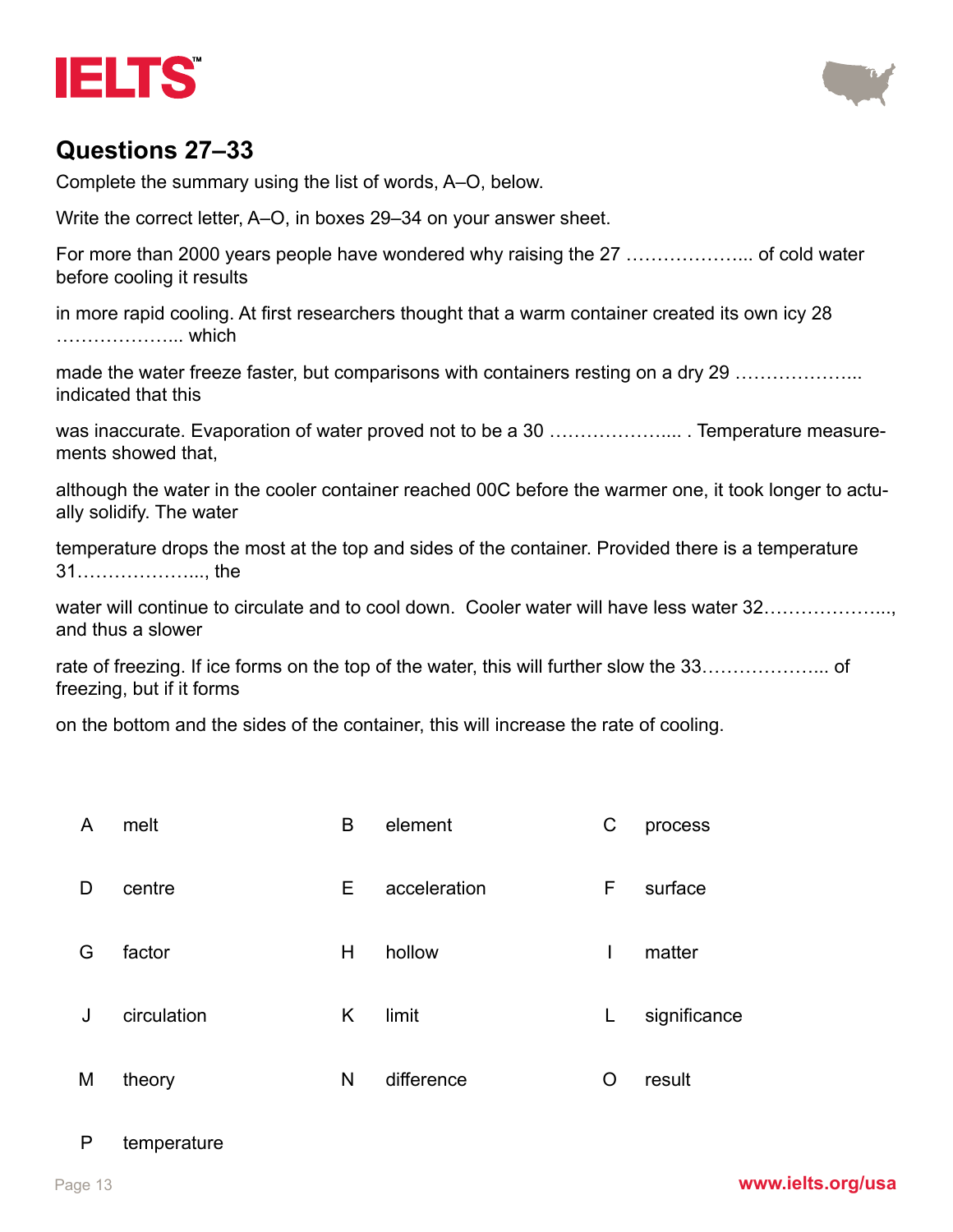



#### **Questions 27–33**

Complete the summary using the list of words, A–O, below.

Write the correct letter, A–O, in boxes 29–34 on your answer sheet.

For more than 2000 years people have wondered why raising the 27 ………………... of cold water before cooling it results

in more rapid cooling. At first researchers thought that a warm container created its own icy 28 ………………... which

made the water freeze faster, but comparisons with containers resting on a dry 29 ………………… indicated that this

was inaccurate. Evaporation of water proved not to be a 30 ………………………….. Temperature measurements showed that,

although the water in the cooler container reached 00C before the warmer one, it took longer to actually solidify. The water

temperature drops the most at the top and sides of the container. Provided there is a temperature 31………………..., the

water will continue to circulate and to cool down. Cooler water will have less water 32………………… and thus a slower

rate of freezing. If ice forms on the top of the water, this will further slow the 33………………... of freezing, but if it forms

on the bottom and the sides of the container, this will increase the rate of cooling.

| A | melt        | B  | element      | С  | process      |
|---|-------------|----|--------------|----|--------------|
| D | centre      | E. | acceleration | F  | surface      |
| G | factor      | H  | hollow       | I  | matter       |
| J | circulation | Κ  | limit        | L. | significance |
| M | theory      | N  | difference   | O  | result       |

#### P temperature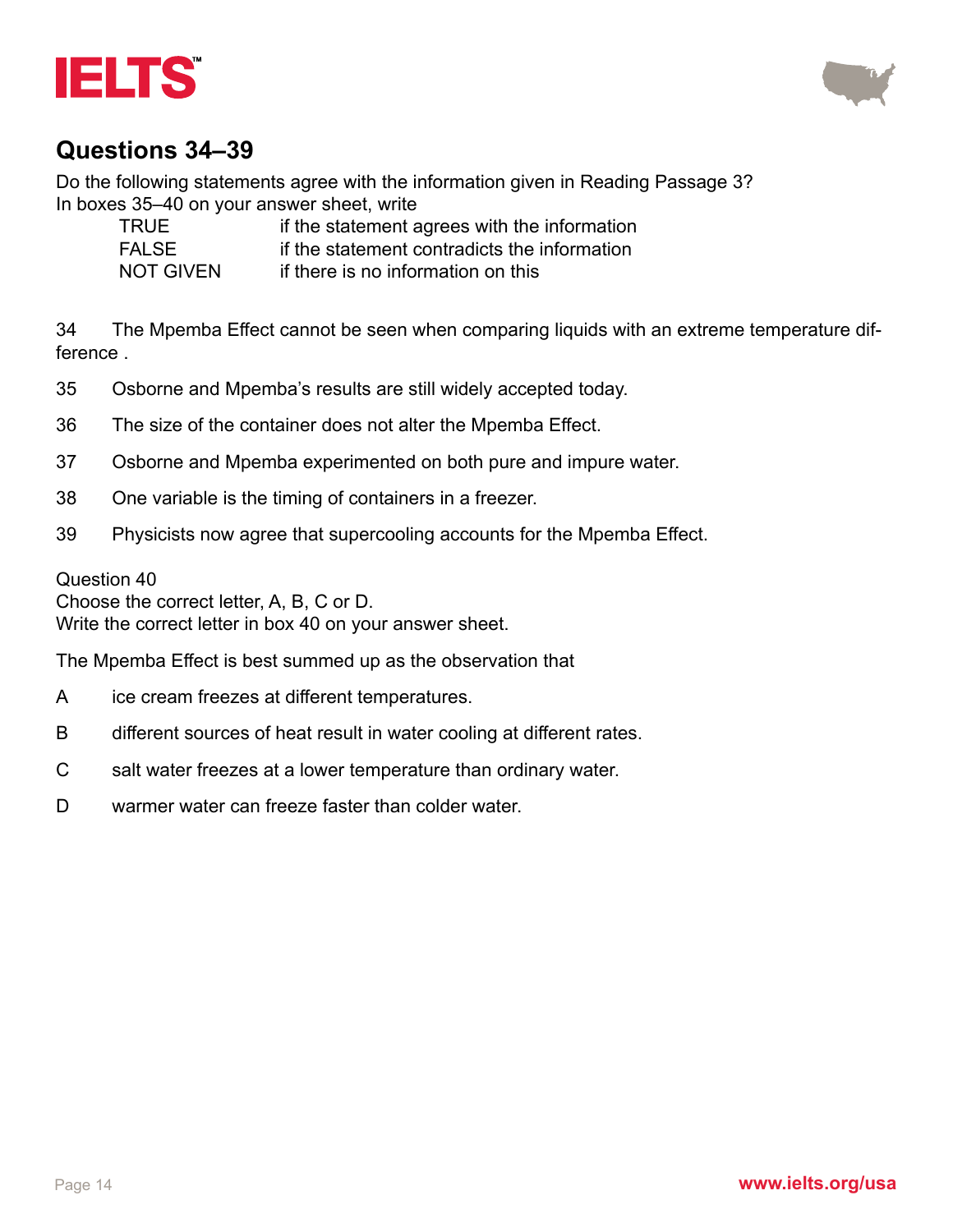



### **Questions 34–39**

Do the following statements agree with the information given in Reading Passage 3? In boxes 35–40 on your answer sheet, write

| TRUE             | if the statement agrees with the information |
|------------------|----------------------------------------------|
| <b>FALSE</b>     | if the statement contradicts the information |
| <b>NOT GIVEN</b> | if there is no information on this           |

34 The Mpemba Effect cannot be seen when comparing liquids with an extreme temperature difference .

- 35 Osborne and Mpemba's results are still widely accepted today.
- 36 The size of the container does not alter the Mpemba Effect.
- 37 Osborne and Mpemba experimented on both pure and impure water.
- 38 One variable is the timing of containers in a freezer.
- 39 Physicists now agree that supercooling accounts for the Mpemba Effect.

#### Question 40

Choose the correct letter, A, B, C or D.

Write the correct letter in box 40 on your answer sheet.

The Mpemba Effect is best summed up as the observation that

- A ice cream freezes at different temperatures.
- B different sources of heat result in water cooling at different rates.
- C salt water freezes at a lower temperature than ordinary water.
- D warmer water can freeze faster than colder water.